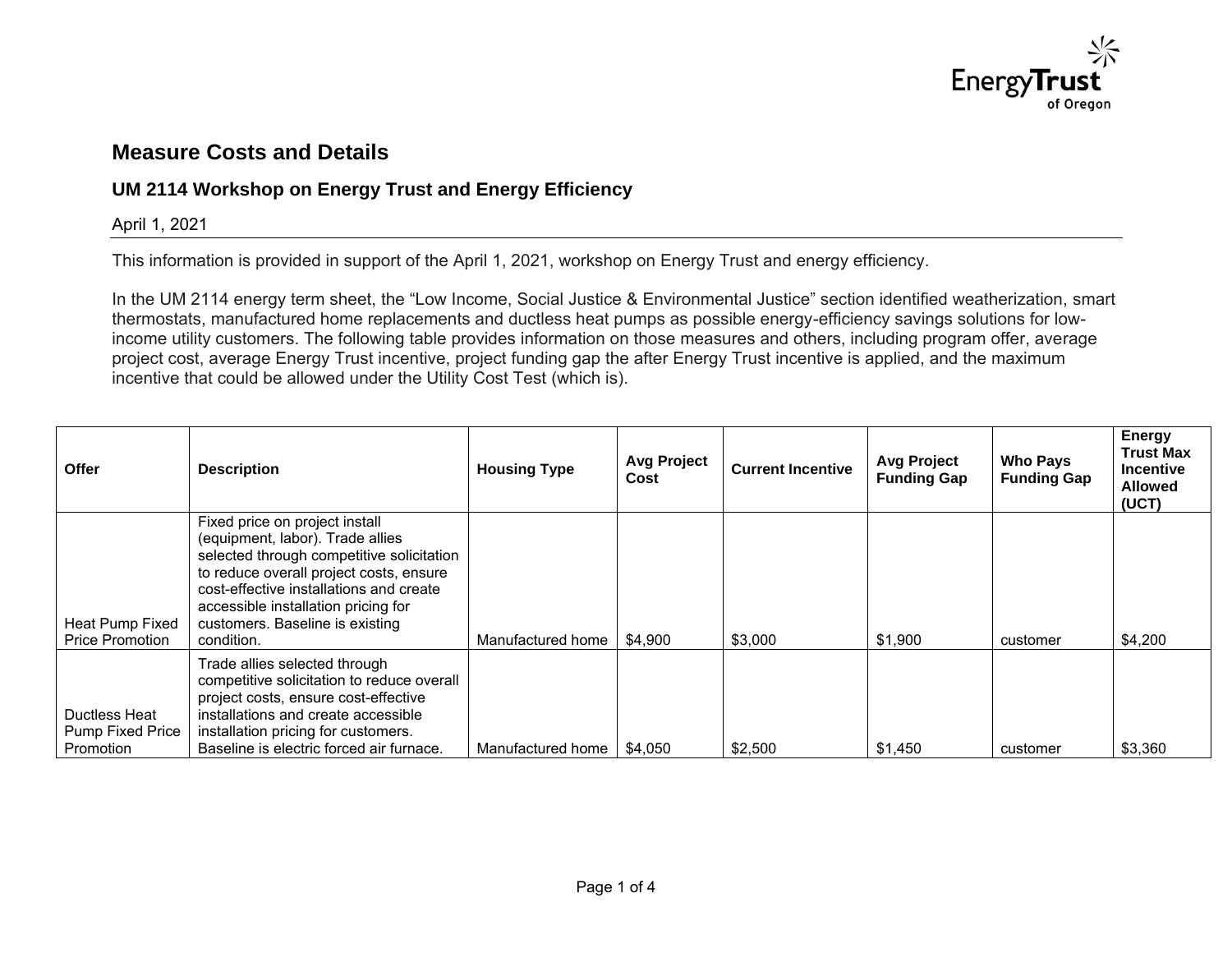

## **Measure Costs and Details**

## **UM 2114 Workshop on Energy Trust and Energy Efficiency**

## April 1, 2021

This information is provided in support of the April 1, 2021, workshop on Energy Trust and energy efficiency.

In the UM 2114 energy term sheet, the "Low Income, Social Justice & Environmental Justice" section identified weatherization, smart thermostats, manufactured home replacements and ductless heat pumps as possible energy-efficiency savings solutions for lowincome utility customers. The following table provides information on those measures and others, including program offer, average project cost, average Energy Trust incentive, project funding gap the after Energy Trust incentive is applied, and the maximum incentive that could be allowed under the Utility Cost Test (which is).

| <b>Offer</b>                                          | <b>Description</b>                                                                                                                                                                                                                                                                            | <b>Housing Type</b>         | <b>Avg Project</b><br>Cost | <b>Current Incentive</b> | <b>Avg Project</b><br><b>Funding Gap</b> | <b>Who Pays</b><br><b>Funding Gap</b> | Energy<br><b>Trust Max</b><br><b>Incentive</b><br><b>Allowed</b><br>(UCT) |
|-------------------------------------------------------|-----------------------------------------------------------------------------------------------------------------------------------------------------------------------------------------------------------------------------------------------------------------------------------------------|-----------------------------|----------------------------|--------------------------|------------------------------------------|---------------------------------------|---------------------------------------------------------------------------|
| Heat Pump Fixed<br><b>Price Promotion</b>             | Fixed price on project install<br>(equipment, labor). Trade allies<br>selected through competitive solicitation<br>to reduce overall project costs, ensure<br>cost-effective installations and create<br>accessible installation pricing for<br>customers. Baseline is existing<br>condition. | Manufactured home           | \$4,900                    | \$3,000                  | \$1,900                                  | customer                              | \$4,200                                                                   |
| Ductless Heat<br><b>Pump Fixed Price</b><br>Promotion | Trade allies selected through<br>competitive solicitation to reduce overall<br>project costs, ensure cost-effective<br>installations and create accessible<br>installation pricing for customers.<br>Baseline is electric forced air furnace.                                                 | Manufactured home   \$4,050 |                            | \$2,500                  | \$1,450                                  | customer                              | \$3,360                                                                   |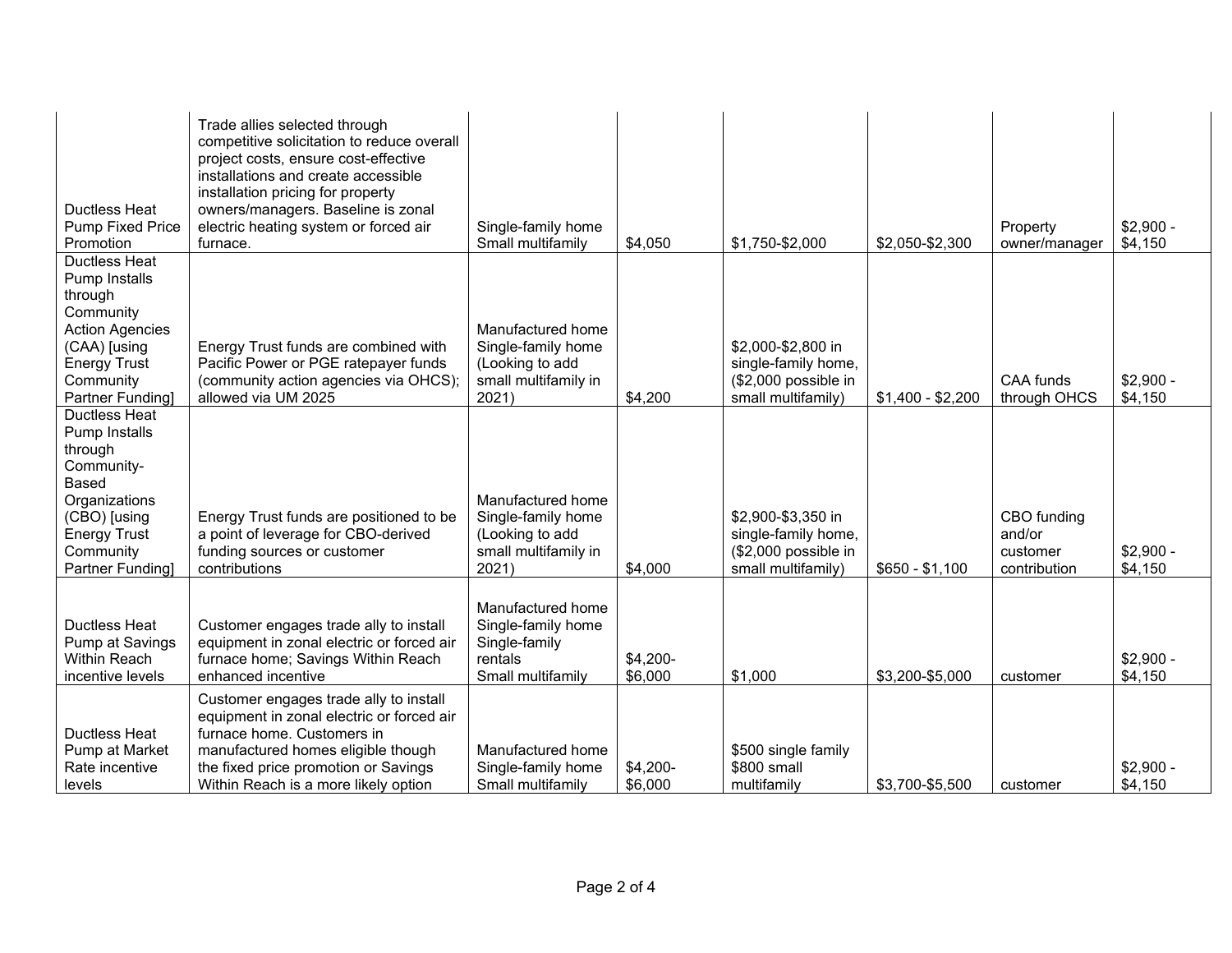| <b>Ductless Heat</b><br><b>Pump Fixed Price</b><br>Promotion                                                                                                                   | Trade allies selected through<br>competitive solicitation to reduce overall<br>project costs, ensure cost-effective<br>installations and create accessible<br>installation pricing for property<br>owners/managers. Baseline is zonal<br>electric heating system or forced air<br>furnace. | Single-family home<br>Small multifamily                                                     | \$4,050             | \$1,750-\$2,000                                                                         | \$2,050-\$2,300   | Property<br>owner/manager                         | $$2,900 -$<br>\$4,150 |
|--------------------------------------------------------------------------------------------------------------------------------------------------------------------------------|--------------------------------------------------------------------------------------------------------------------------------------------------------------------------------------------------------------------------------------------------------------------------------------------|---------------------------------------------------------------------------------------------|---------------------|-----------------------------------------------------------------------------------------|-------------------|---------------------------------------------------|-----------------------|
| <b>Ductless Heat</b><br>Pump Installs<br>through<br>Community<br><b>Action Agencies</b><br>(CAA) [using<br><b>Energy Trust</b><br>Community<br>Partner Funding]                | Energy Trust funds are combined with<br>Pacific Power or PGE ratepayer funds<br>(community action agencies via OHCS);<br>allowed via UM 2025                                                                                                                                               | Manufactured home<br>Single-family home<br>(Looking to add<br>small multifamily in<br>2021) | \$4,200             | \$2,000-\$2,800 in<br>single-family home,<br>(\$2,000 possible in<br>small multifamily) | $$1,400 - $2,200$ | CAA funds<br>through OHCS                         | $$2,900 -$<br>\$4,150 |
| <b>Ductless Heat</b><br>Pump Installs<br>through<br>Community-<br><b>Based</b><br>Organizations<br>(CBO) [using<br><b>Energy Trust</b><br>Community<br><b>Partner Fundingl</b> | Energy Trust funds are positioned to be<br>a point of leverage for CBO-derived<br>funding sources or customer<br>contributions                                                                                                                                                             | Manufactured home<br>Single-family home<br>(Looking to add<br>small multifamily in<br>2021) | \$4,000             | \$2,900-\$3,350 in<br>single-family home,<br>(\$2,000 possible in<br>small multifamily) | $$650 - $1,100$   | CBO funding<br>and/or<br>customer<br>contribution | $$2,900 -$<br>\$4,150 |
| <b>Ductless Heat</b><br>Pump at Savings<br>Within Reach<br>incentive levels                                                                                                    | Customer engages trade ally to install<br>equipment in zonal electric or forced air<br>furnace home; Savings Within Reach<br>enhanced incentive                                                                                                                                            | Manufactured home<br>Single-family home<br>Single-family<br>rentals<br>Small multifamily    | \$4,200-<br>\$6,000 | \$1,000                                                                                 | \$3,200-\$5,000   | customer                                          | $$2,900 -$<br>\$4,150 |
| <b>Ductless Heat</b><br>Pump at Market<br>Rate incentive<br>levels                                                                                                             | Customer engages trade ally to install<br>equipment in zonal electric or forced air<br>furnace home. Customers in<br>manufactured homes eligible though<br>the fixed price promotion or Savings<br>Within Reach is a more likely option                                                    | Manufactured home<br>Single-family home<br>Small multifamily                                | \$4,200-<br>\$6,000 | \$500 single family<br>\$800 small<br>multifamily                                       | \$3,700-\$5,500   | customer                                          | $$2,900 -$<br>\$4,150 |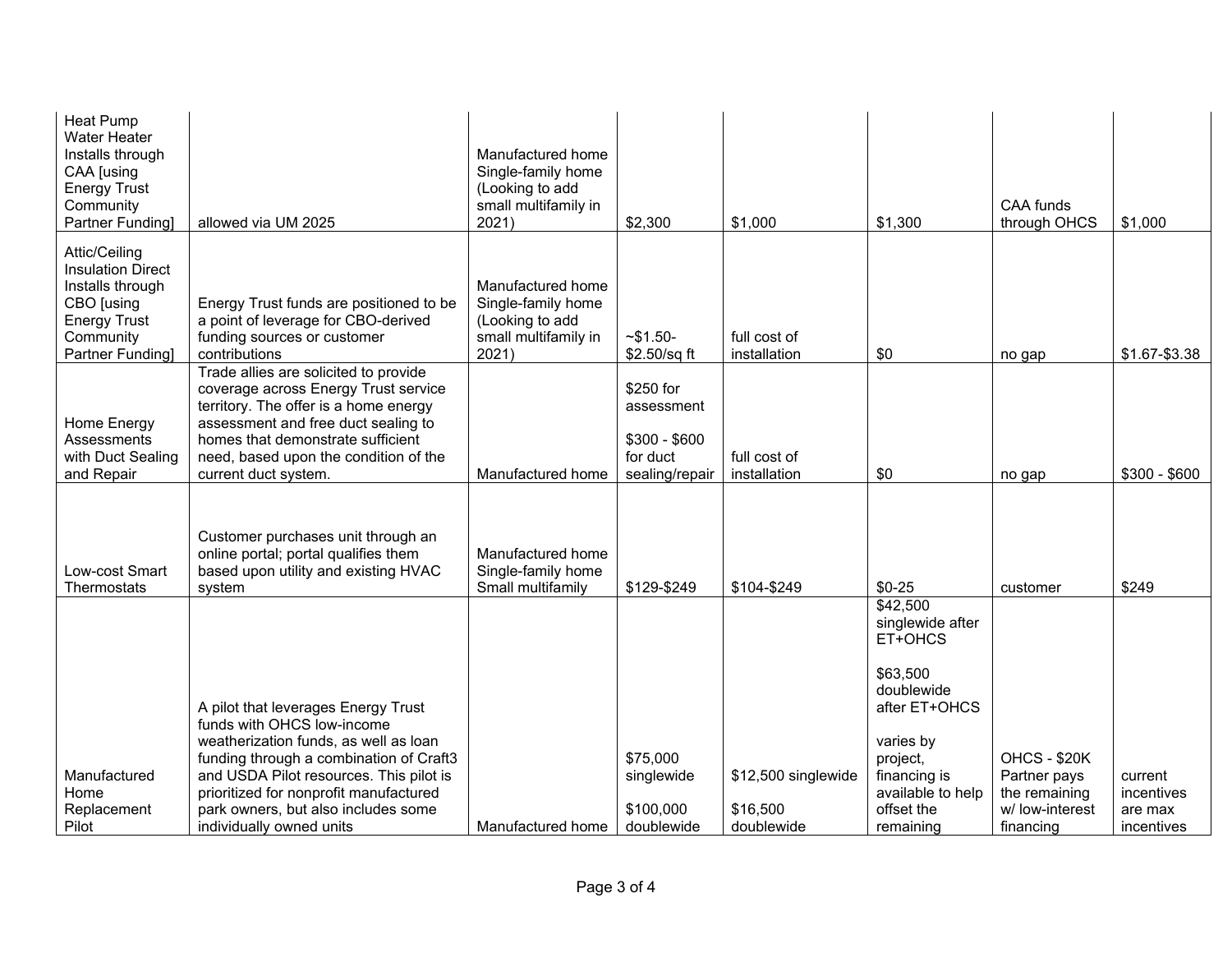| <b>Heat Pump</b><br><b>Water Heater</b><br>Installs through<br>CAA [using<br><b>Energy Trust</b><br>Community<br><b>Partner Fundingl</b> | allowed via UM 2025                                                                                                                                                                                                                                                 | Manufactured home<br>Single-family home<br>(Looking to add<br>small multifamily in<br>2021) | \$2,300                                                                | \$1,000                      | \$1,300                                                    | <b>CAA funds</b><br>through OHCS              | \$1,000               |
|------------------------------------------------------------------------------------------------------------------------------------------|---------------------------------------------------------------------------------------------------------------------------------------------------------------------------------------------------------------------------------------------------------------------|---------------------------------------------------------------------------------------------|------------------------------------------------------------------------|------------------------------|------------------------------------------------------------|-----------------------------------------------|-----------------------|
| Attic/Ceiling<br><b>Insulation Direct</b><br>Installs through<br>CBO [using<br><b>Energy Trust</b><br>Community<br>Partner Funding       | Energy Trust funds are positioned to be<br>a point of leverage for CBO-derived<br>funding sources or customer<br>contributions                                                                                                                                      | Manufactured home<br>Single-family home<br>(Looking to add<br>small multifamily in<br>2021) | $-$ \$1.50-<br>\$2.50/sq ft                                            | full cost of<br>installation | \$0                                                        | no gap                                        | \$1.67-\$3.38         |
| Home Energy<br>Assessments<br>with Duct Sealing<br>and Repair                                                                            | Trade allies are solicited to provide<br>coverage across Energy Trust service<br>territory. The offer is a home energy<br>assessment and free duct sealing to<br>homes that demonstrate sufficient<br>need, based upon the condition of the<br>current duct system. | Manufactured home                                                                           | \$250 for<br>assessment<br>$$300 - $600$<br>for duct<br>sealing/repair | full cost of<br>installation | \$0                                                        | no gap                                        | $$300 - $600$         |
| Low-cost Smart<br>Thermostats                                                                                                            | Customer purchases unit through an<br>online portal; portal qualifies them<br>based upon utility and existing HVAC<br>system                                                                                                                                        | Manufactured home<br>Single-family home<br>Small multifamily                                | \$129-\$249                                                            | \$104-\$249                  | $$0-25$                                                    | customer                                      | \$249                 |
|                                                                                                                                          |                                                                                                                                                                                                                                                                     |                                                                                             |                                                                        |                              | \$42,500<br>singlewide after<br>ET+OHCS                    |                                               |                       |
|                                                                                                                                          | A pilot that leverages Energy Trust<br>funds with OHCS low-income                                                                                                                                                                                                   |                                                                                             |                                                                        |                              | \$63,500<br>doublewide<br>after ET+OHCS                    |                                               |                       |
| Manufactured<br>Home                                                                                                                     | weatherization funds, as well as loan<br>funding through a combination of Craft3<br>and USDA Pilot resources. This pilot is<br>prioritized for nonprofit manufactured                                                                                               |                                                                                             | \$75,000<br>singlewide                                                 | \$12,500 singlewide          | varies by<br>project,<br>financing is<br>available to help | OHCS - \$20K<br>Partner pays<br>the remaining | current<br>incentives |
| Replacement<br>Pilot                                                                                                                     | park owners, but also includes some<br>individually owned units                                                                                                                                                                                                     | Manufactured home                                                                           | \$100,000<br>doublewide                                                | \$16,500<br>doublewide       | offset the<br>remaining                                    | w/ low-interest<br>financing                  | are max<br>incentives |